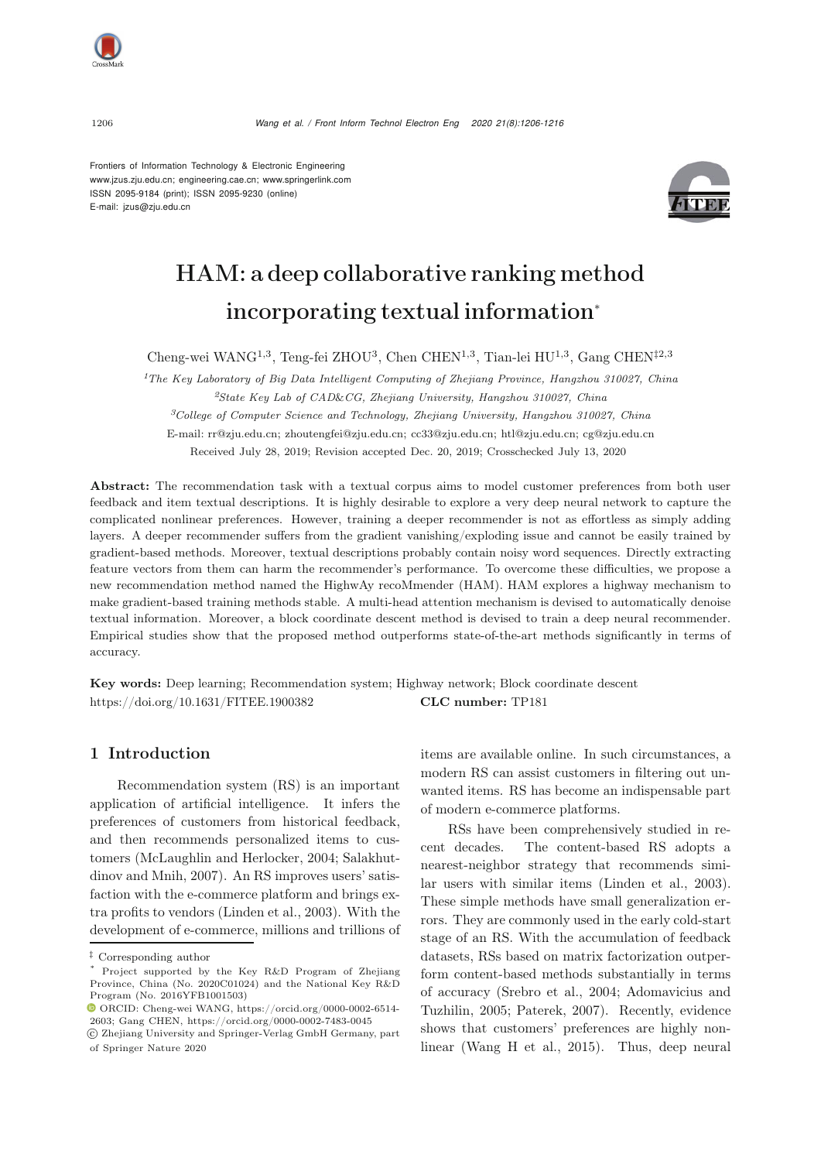Frontiers of Information Technology & Electronic Engineering [www.jzus.zju.edu.cn;](www.jzus.zju.edu.cn) [engineering.cae.cn;](engineering.cae.cn)<www.springerlink.com> ISSN 2095-9184 (print); ISSN 2095-9230 (online) E-mail: jzus@zju.edu.cn



# HAM: a deep collaborative ranking method incorporating textual information<sup>∗</sup>

Cheng-wei WANG1,3, Teng-fei ZHOU<sup>3</sup>, Chen CHEN1,3, Tian-lei HU1,3, Gang CHEN‡2,3

*<sup>1</sup>The Key Laboratory of Big Data Intelligent Computing of Zhejiang Province, Hangzhou 310027, China <sup>2</sup>State Key Lab of CAD*&*CG, Zhejiang University, Hangzhou 310027, China <sup>3</sup>College of Computer Science and Technology, Zhejiang University, Hangzhou 310027, China* E-mail: rr@zju.edu.cn; zhoutengfei@zju.edu.cn; cc33@zju.edu.cn; htl@zju.edu.cn; cg@zju.edu.cn Received July 28, 2019; Revision accepted Dec. 20, 2019; Crosschecked July 13, 2020

Abstract: The recommendation task with a textual corpus aims to model customer preferences from both user feedback and item textual descriptions. It is highly desirable to explore a very deep neural network to capture the complicated nonlinear preferences. However, training a deeper recommender is not as effortless as simply adding layers. A deeper recommender suffers from the gradient vanishing/exploding issue and cannot be easily trained by gradient-based methods. Moreover, textual descriptions probably contain noisy word sequences. Directly extracting feature vectors from them can harm the recommender's performance. To overcome these difficulties, we propose a new recommendation method named the HighwAy recoMmender (HAM). HAM explores a highway mechanism to make gradient-based training methods stable. A multi-head attention mechanism is devised to automatically denoise textual information. Moreover, a block coordinate descent method is devised to train a deep neural recommender. Empirical studies show that the proposed method outperforms state-of-the-art methods significantly in terms of accuracy.

Key words: Deep learning; Recommendation system; Highway network; Block coordinate descent https://doi.org/10.1631/FITEE.1900382 **CLC number:** TP181

# 1 Introduction

Recommendation system (RS) is an important application of artificial intelligence. It infers the preferences of customers from historical feedback, and then recommends personalized items to customers [\(McLaughlin and Herlocker](#page-9-0)[,](#page-9-1) [2004](#page-9-0)[;](#page-9-1) Salakhutdinov and Mnih, [2007](#page-9-1)). An RS improves users' satisfaction with the e-commerce platform and brings extra profits to vendors [\(Linden et al., 2003](#page-9-2)). With the development of e-commerce, millions and trillions of items are available online. In such circumstances, a modern RS can assist customers in filtering out unwanted items. RS has become an indispensable part of modern e-commerce platforms.

RSs have been comprehensively studied in recent decades. The content-based RS adopts a nearest-neighbor strategy that recommends similar users with similar items [\(Linden et al.](#page-9-2), [2003\)](#page-9-2). These simple methods have small generalization errors. They are commonly used in the early cold-start stage of an RS. With the accumulation of feedback datasets, RSs based on matrix factorization outperform content-based methods substantially in terms of accu[racy](#page-9-3) [\(Srebro et al.](#page-10-0)[,](#page-9-3) [2004](#page-10-0)[;](#page-9-3) Adomavicius and Tuzhilin, [2005;](#page-9-3) [Paterek](#page-9-4), [2007](#page-9-4)). Recently, evidence shows that customers' preferences are highly nonlinear [\(Wang H et al.](#page-10-1), [2015\)](#page-10-1). Thus, deep neural

<sup>‡</sup> Corresponding author

Project supported by the Key R&D Program of Zhejiang Province, China (No. 2020C01024) and the National Key R&D Program (No. 2016YFB1001503)

ORCID: Cheng-wei WANG, https://orcid.org/0000-0002-6514- 2603; Gang CHEN, https://orcid.org/0000-0002-7483-0045

c Zhejiang University and Springer-Verlag GmbH Germany, part of Springer Nature 2020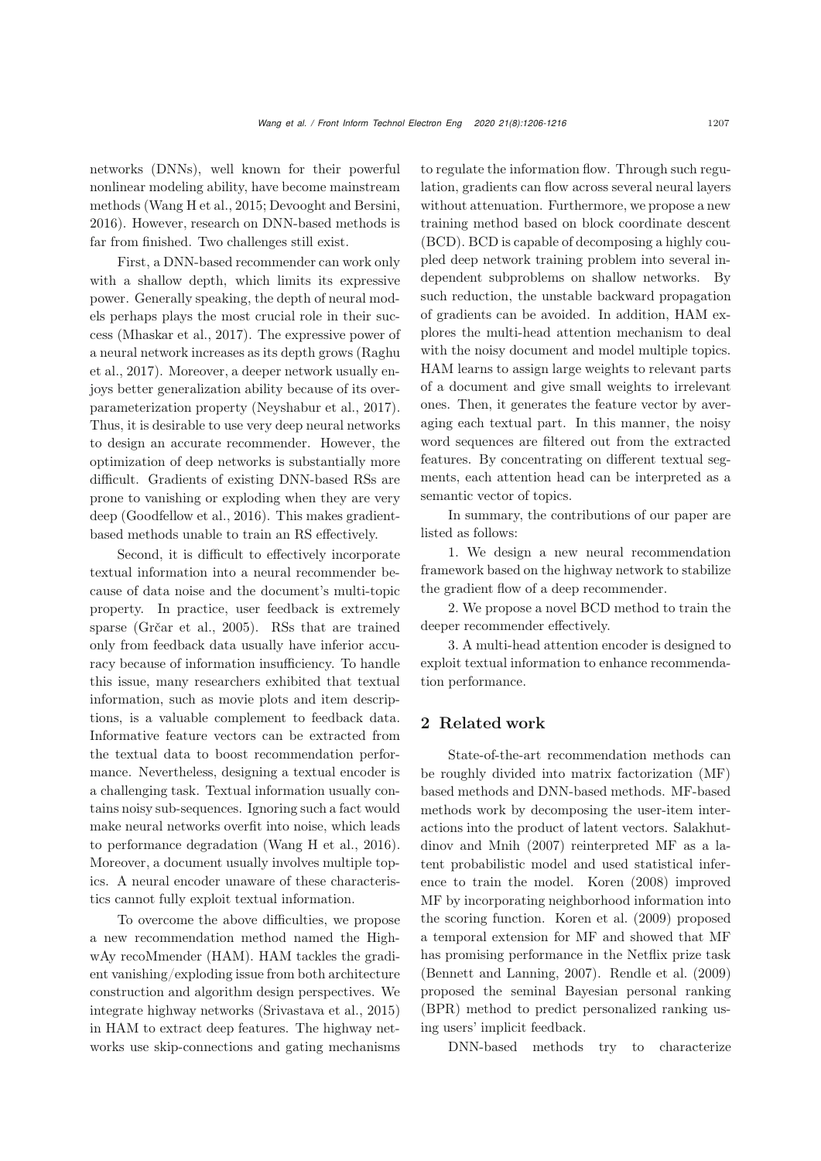networks (DNNs), well known for their powerful nonlinear modeling ability, have become mainstream methods [\(Wang H et al., 2015;](#page-10-1) [Devooght and Bersini,](#page-9-5) [2016](#page-9-5)). However, research on DNN-based methods is far from finished. Two challenges still exist.

First, a DNN-based recommender can work only with a shallow depth, which limits its expressive power. Generally speaking, the depth of neural models perhaps plays the most crucial role in their success [\(Mhaskar et al., 2017](#page-9-6)). The expressive power of a ne[ural](#page-9-7) [network](#page-9-7) [increases](#page-9-7) [as](#page-9-7) [its](#page-9-7) [depth](#page-9-7) [grows](#page-9-7) [\(](#page-9-7)Raghu et al., [2017\)](#page-9-7). Moreover, a deeper network usually enjoys better generalization ability because of its overparameterization property [\(Neyshabur et al., 2017\)](#page-9-8). Thus, it is desirable to use very deep neural networks to design an accurate recommender. However, the optimization of deep networks is substantially more difficult. Gradients of existing DNN-based RSs are prone to vanishing or exploding when they are very deep [\(Goodfellow et al.](#page-9-9), [2016\)](#page-9-9). This makes gradientbased methods unable to train an RS effectively.

Second, it is difficult to effectively incorporate textual information into a neural recommender because of data noise and the document's multi-topic property. In practice, user feedback is extremely sparse [\(Grčar et al., 2005](#page-9-10)). RSs that are trained only from feedback data usually have inferior accuracy because of information insufficiency. To handle this issue, many researchers exhibited that textual information, such as movie plots and item descriptions, is a valuable complement to feedback data. Informative feature vectors can be extracted from the textual data to boost recommendation performance. Nevertheless, designing a textual encoder is a challenging task. Textual information usually contains noisy sub-sequences. Ignoring such a fact would make neural networks overfit into noise, which leads to performance degradation [\(Wang H et al.](#page-10-2), [2016\)](#page-10-2). Moreover, a document usually involves multiple topics. A neural encoder unaware of these characteristics cannot fully exploit textual information.

To overcome the above difficulties, we propose a new recommendation method named the HighwAy recoMmender (HAM). HAM tackles the gradient vanishing/exploding issue from both architecture construction and algorithm design perspectives. We integrate highway networks [\(Srivastava et al.](#page-10-3), [2015\)](#page-10-3) in HAM to extract deep features. The highway networks use skip-connections and gating mechanisms

to regulate the information flow. Through such regulation, gradients can flow across several neural layers without attenuation. Furthermore, we propose a new training method based on block coordinate descent (BCD). BCD is capable of decomposing a highly coupled deep network training problem into several independent subproblems on shallow networks. By such reduction, the unstable backward propagation of gradients can be avoided. In addition, HAM explores the multi-head attention mechanism to deal with the noisy document and model multiple topics. HAM learns to assign large weights to relevant parts of a document and give small weights to irrelevant ones. Then, it generates the feature vector by averaging each textual part. In this manner, the noisy word sequences are filtered out from the extracted features. By concentrating on different textual segments, each attention head can be interpreted as a semantic vector of topics.

In summary, the contributions of our paper are listed as follows:

1. We design a new neural recommendation framework based on the highway network to stabilize the gradient flow of a deep recommender.

2. We propose a novel BCD method to train the deeper recommender effectively.

3. A multi-head attention encoder is designed to exploit textual information to enhance recommendation performance.

# 2 Related work

State-of-the-art recommendation methods can be roughly divided into matrix factorization (MF) based methods and DNN-based methods. MF-based methods work by decomposing the user-item interactions into the [product](#page-9-1) [of](#page-9-1) [latent](#page-9-1) [vectors.](#page-9-1) Salakhutdinov and Mnih [\(2007](#page-9-1)) reinterpreted MF as a latent probabilistic model and used statistical inference to train the model. [Koren](#page-9-11) [\(2008](#page-9-11)) improved MF by incorporating neighborhood information into the scoring function. [Koren et al.](#page-9-12) [\(2009](#page-9-12)) proposed a temporal extension for MF and showed that MF has promising performance in the Netflix prize task [\(Bennett and Lanning, 2007](#page-9-13)). [Rendle et al.](#page-9-14) [\(2009](#page-9-14)) proposed the seminal Bayesian personal ranking (BPR) method to predict personalized ranking using users' implicit feedback.

DNN-based methods try to characterize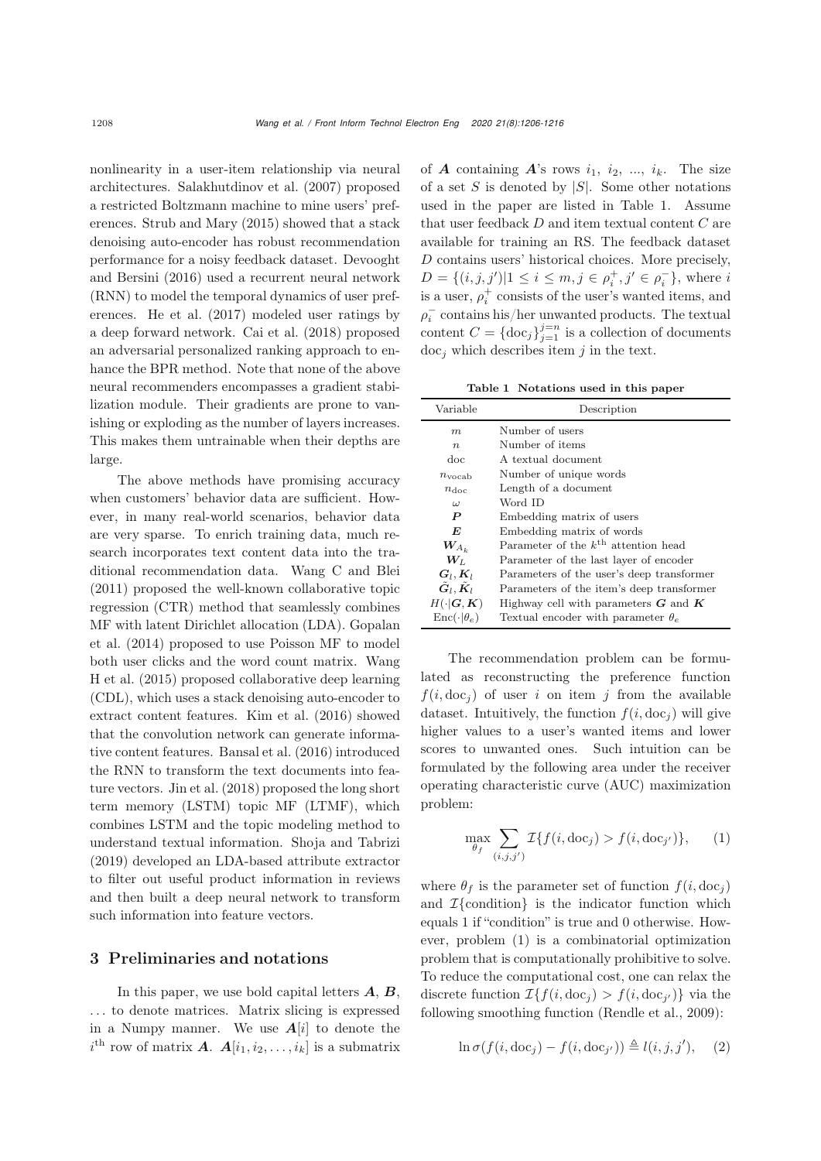nonlinearity in a user-item relationship via neural architectures. [Salakhutdinov et al.](#page-9-15) [\(2007\)](#page-9-15) proposed a restricted Boltzmann machine to mine users' preferences. [Strub and Mary](#page-10-4) [\(2015\)](#page-10-4) showed that a stack denoising auto-encoder has robust recommendation performanc[e](#page-9-5) [for](#page-9-5) [a](#page-9-5) [noisy](#page-9-5) [feedback](#page-9-5) [dataset.](#page-9-5) Devooght and Bersini [\(2016\)](#page-9-5) used a recurrent neural network (RNN) to model the temporal dynamics of user preferences. [He et al.](#page-9-16) [\(2017\)](#page-9-16) modeled user ratings by a deep forward network. [Cai et al.](#page-9-17) [\(2018](#page-9-17)) proposed an adversarial personalized ranking approach to enhance the BPR method. Note that none of the above neural recommenders encompasses a gradient stabilization module. Their gradients are prone to vanishing or exploding as the number of layers increases. This makes them untrainable when their depths are large.

The above methods have promising accuracy when customers' behavior data are sufficient. However, in many real-world scenarios, behavior data are very sparse. To enrich training data, much research incorporates text content data into the traditional recommendation data. [Wang C and Blei](#page-10-5) [\(2011](#page-10-5)) proposed the well-known collaborative topic regression (CTR) method that seamlessly combines MF [with](#page-9-18) [latent](#page-9-18) [Dirichlet](#page-9-18) [allocation](#page-9-18) [\(LDA\).](#page-9-18) Gopalan et al. [\(2014](#page-9-18)) proposed to use Poisson MF to model both u[ser](#page-10-1) [clicks](#page-10-1) [and](#page-10-1) [the](#page-10-1) [word](#page-10-1) [count](#page-10-1) [matrix.](#page-10-1) Wang H et al. [\(2015\)](#page-10-1) proposed collaborative deep learning (CDL), which uses a stack denoising auto-encoder to extract content features. [Kim et al.](#page-9-19) [\(2016\)](#page-9-19) showed that the convolution network can generate informative content features. [Bansal et al.](#page-9-20) [\(2016\)](#page-9-20) introduced the RNN to transform the text documents into feature vectors. [Jin et al.](#page-9-21) [\(2018\)](#page-9-21) proposed the long short term memory (LSTM) topic MF (LTMF), which combines LSTM and the topic modeling method to understand textual information. [Shoja and Tabrizi](#page-10-6) [\(2019](#page-10-6)) developed an LDA-based attribute extractor to filter out useful product information in reviews and then built a deep neural network to transform such information into feature vectors.

# 3 Preliminaries and notations

In this paper, we use bold capital letters *A*, *B*, ... to denote matrices. Matrix slicing is expressed in a Numpy manner. We use  $A[i]$  to denote the  $i^{\text{th}}$  row of matrix *A*.  $A[i_1, i_2, \ldots, i_k]$  is a submatrix of  $A$  containing  $A$ 's rows  $i_1$ ,  $i_2$ , ...,  $i_k$ . The size of a set  $S$  is denoted by  $|S|$ . Some other notations used in the paper are listed in Table [1.](#page-2-0) Assume that user feedback D and item textual content C are available for training an RS. The feedback dataset D contains users' historical choices. More precisely,  $D = \{(i, j, j') | 1 \le i \le m, j \in \rho_i^+, j' \in \rho_i^-\}$ , where i is a user,  $\rho_i^+$  consists of the user's wanted items, and  $\rho_i^-$  contains his/her unwanted products. The textual content  $C = \{ \text{doc}_j \}_{j=1}^{j=n}$  is a collection of documents  $\text{doc}_j$  which describes item j in the text.

<span id="page-2-0"></span>Table 1 Notations used in this paper

| Variable                                 | Description                                     |  |  |  |
|------------------------------------------|-------------------------------------------------|--|--|--|
| m                                        | Number of users                                 |  |  |  |
| $\boldsymbol{n}$                         | Number of items                                 |  |  |  |
| doc                                      | A textual document                              |  |  |  |
| $n_{\rm vocab}$                          | Number of unique words                          |  |  |  |
| $n_{\text{doc}}$                         | Length of a document                            |  |  |  |
| $\omega$                                 | Word ID                                         |  |  |  |
| $\boldsymbol{P}$                         | Embedding matrix of users                       |  |  |  |
| E                                        | Embedding matrix of words                       |  |  |  |
| $W_{A_h}$                                | Parameter of the $k^{\text{th}}$ attention head |  |  |  |
| $\boldsymbol{W}_L$                       | Parameter of the last layer of encoder          |  |  |  |
| $G_l, K_l$                               | Parameters of the user's deep transformer       |  |  |  |
| $\tilde{G}_l$ , $\tilde{K}_l$            | Parameters of the item's deep transformer       |  |  |  |
| $H(\cdot \boldsymbol{G},\boldsymbol{K})$ | Highway cell with parameters $G$ and $K$        |  |  |  |
| $\text{Enc}(\cdot   \theta_e)$           | Textual encoder with parameter $\theta_e$       |  |  |  |

The recommendation problem can be formulated as reconstructing the preference function  $f(i, doc<sub>i</sub>)$  of user i on item j from the available dataset. Intuitively, the function  $f(i, doc<sub>i</sub>)$  will give higher values to a user's wanted items and lower scores to unwanted ones. Such intuition can be formulated by the following area under the receiver operating characteristic curve (AUC) maximization problem:

<span id="page-2-1"></span>
$$
\max_{\theta_f} \sum_{(i,j,j')} \mathcal{I}\{f(i,\mathrm{doc}_j) > f(i,\mathrm{doc}_{j'})\},\qquad(1)
$$

where  $\theta_f$  is the parameter set of function  $f(i, doc<sub>j</sub>)$ and  $\mathcal{I}\{\text{condition}\}\$ is the indicator function which equals 1 if "condition" is true and 0 otherwise. However, problem [\(1\)](#page-2-1) is a combinatorial optimization problem that is computationally prohibitive to solve. To reduce the computational cost, one can relax the discrete function  $\mathcal{I}\{f(i, \text{doc}_j) > f(i, \text{doc}_{j'})\}$  via the following smoothing function [\(Rendle et al.](#page-9-14), [2009](#page-9-14)):

$$
\ln \sigma(f(i, \text{doc}_j) - f(i, \text{doc}_{j'})) \triangleq l(i, j, j'), (2)
$$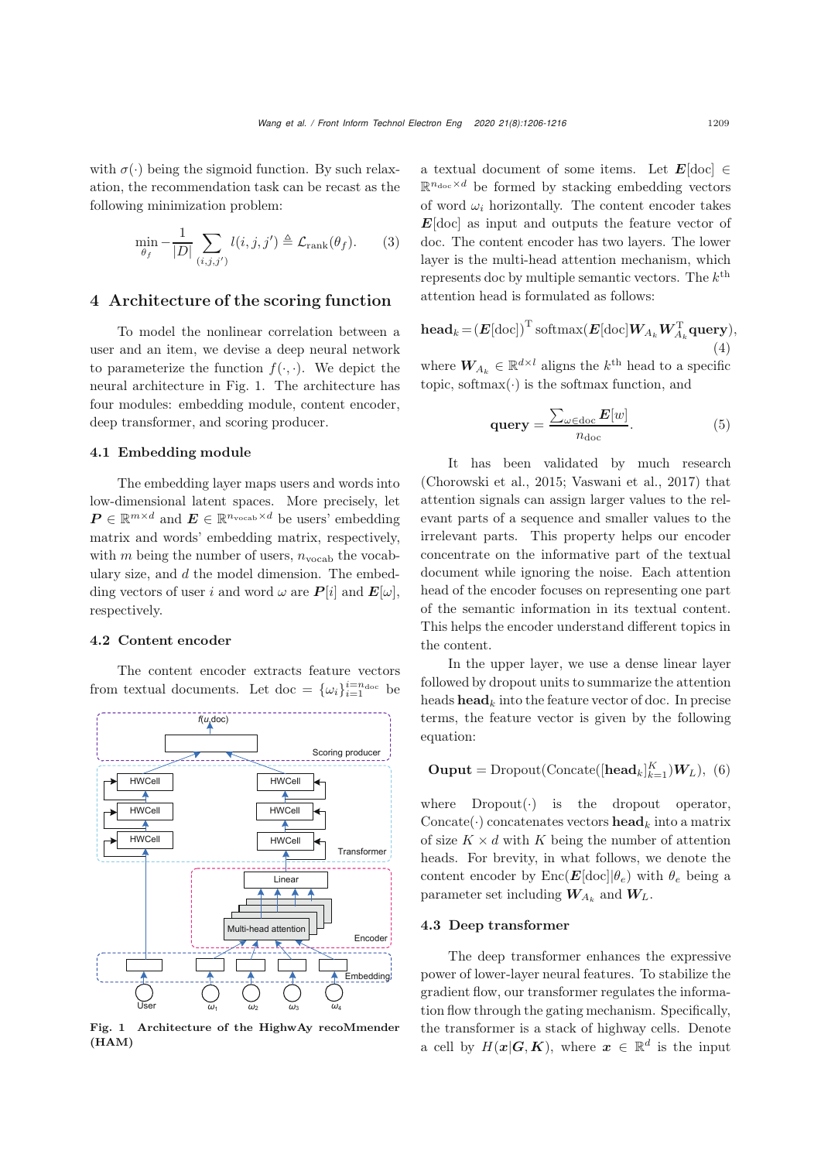with  $\sigma(\cdot)$  being the sigmoid function. By such relaxation, the recommendation task can be recast as the following minimization problem:

<span id="page-3-1"></span>
$$
\min_{\theta_f} -\frac{1}{|D|} \sum_{(i,j,j')} l(i,j,j') \triangleq \mathcal{L}_{\text{rank}}(\theta_f). \tag{3}
$$

# 4 Architecture of the scoring function

To model the nonlinear correlation between a user and an item, we devise a deep neural network to parameterize the function  $f(\cdot, \cdot)$ . We depict the neural architecture in Fig. [1.](#page-3-0) The architecture has four modules: embedding module, content encoder, deep transformer, and scoring producer.

### 4.1 Embedding module

The embedding layer maps users and words into low-dimensional latent spaces. More precisely, let  $P \in \mathbb{R}^{m \times d}$  and  $E \in \mathbb{R}^{n_{\text{vocab}} \times d}$  be users' embedding matrix and words' embedding matrix, respectively, with m being the number of users,  $n_{\text{vocab}}$  the vocabulary size, and  $d$  the model dimension. The embedding vectors of user i and word  $\omega$  are  $P[i]$  and  $E[\omega]$ , respectively.

# 4.2 Content encoder

The content encoder extracts feature vectors from textual documents. Let doc =  $\{\omega_i\}_{i=1}^{i=n_{\text{doc}}}$  be



<span id="page-3-0"></span>Fig. 1 Architecture of the HighwAy recoMmender (HAM)

a textual document of some items. Let  $E[\text{doc}] \in$  $\mathbb{R}^{n_{\text{doc}} \times d}$  be formed by stacking embedding vectors of word  $\omega_i$  horizontally. The content encoder takes *E*[doc] as input and outputs the feature vector of doc. The content encoder has two layers. The lower layer is the multi-head attention mechanism, which represents doc by multiple semantic vectors. The  $k^{\text{th}}$ attention head is formulated as follows:

 $\mathbf{head}_k = (\boldsymbol{E}[\text{doc}])^{\mathrm{T}} \text{softmax}(\boldsymbol{E}[\text{doc}]\boldsymbol{W}_{A_k}\boldsymbol{W}_{A_k}^{\mathrm{T}} \textbf{query}),$ (4)

where  $W_{A_k} \in \mathbb{R}^{d \times l}$  aligns the  $k^{\text{th}}$  head to a specific topic, softmax $(\cdot)$  is the softmax function, and

$$
\mathbf{query} = \frac{\sum_{\omega \in \text{doc}} E[w]}{n_{\text{doc}}}.
$$
\n(5)

It has been validated by much research [\(Chorowski et al.](#page-9-22), [2015](#page-9-22); [Vaswani et al.](#page-10-7), [2017](#page-10-7)) that attention signals can assign larger values to the relevant parts of a sequence and smaller values to the irrelevant parts. This property helps our encoder concentrate on the informative part of the textual document while ignoring the noise. Each attention head of the encoder focuses on representing one part of the semantic information in its textual content. This helps the encoder understand different topics in the content.

In the upper layer, we use a dense linear layer followed by dropout units to summarize the attention heads **head**<sub>k</sub> into the feature vector of doc. In precise terms, the feature vector is given by the following equation:

# **Ouput** = Dropout(Concate( $[\textbf{head}_k]_{k=1}^K$ ) $W_L$ ), (6)

where  $Dropout(\cdot)$  is the dropout operator, Concate( $\cdot$ ) concatenates vectors **head**<sub>k</sub> into a matrix of size  $K \times d$  with K being the number of attention heads. For brevity, in what follows, we denote the content encoder by  $Enc(\boldsymbol{E}[\text{doc}]|\theta_e)$  with  $\theta_e$  being a parameter set including  $W_{A_k}$  and  $W_L$ .

### 4.3 Deep transformer

The deep transformer enhances the expressive power of lower-layer neural features. To stabilize the gradient flow, our transformer regulates the information flow through the gating mechanism. Specifically, the transformer is a stack of highway cells. Denote a cell by  $H(x|\mathbf{G}, \mathbf{K})$ , where  $x \in \mathbb{R}^d$  is the input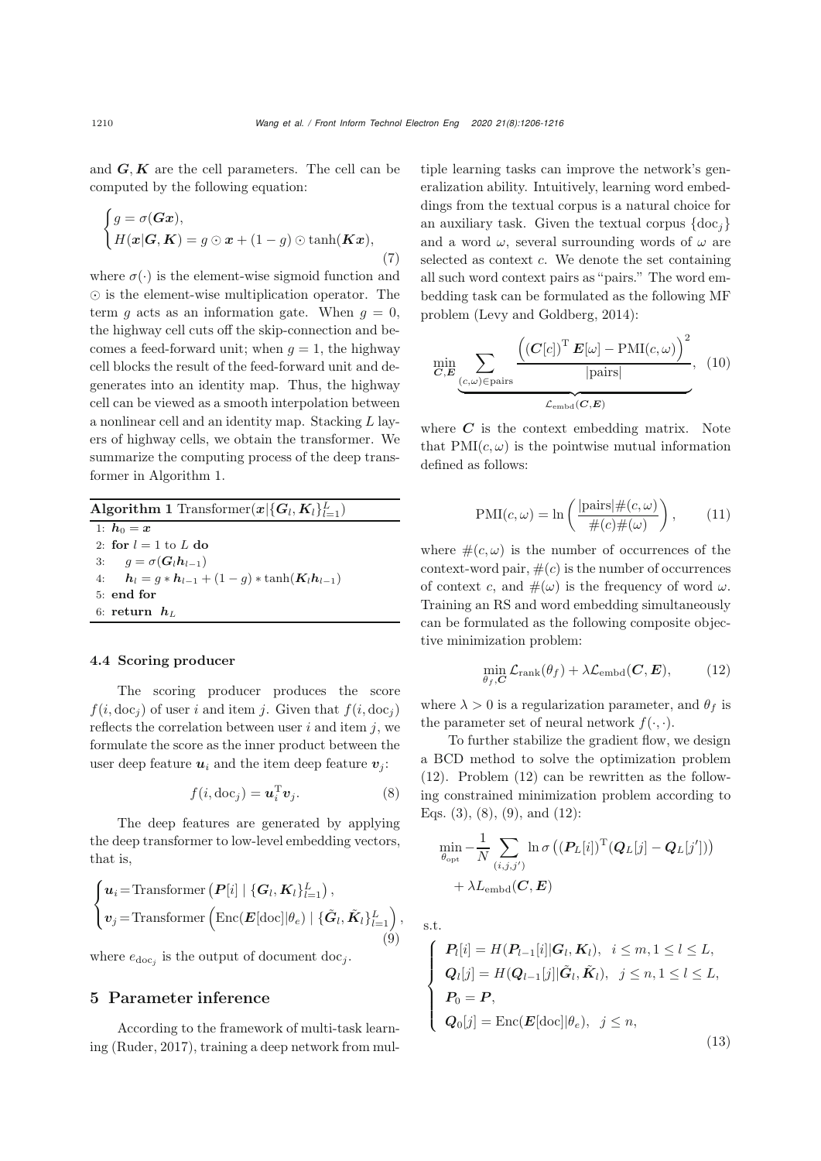and  $G, K$  are the cell parameters. The cell can be computed by the following equation:

$$
\begin{cases} g = \sigma(Gx), \\ H(x|G, K) = g \odot x + (1 - g) \odot \tanh(Kx), \end{cases} (7)
$$

where  $\sigma(\cdot)$  is the element-wise sigmoid function and  $\odot$  is the element-wise multiplication operator. The term q acts as an information gate. When  $q = 0$ , the highway cell cuts off the skip-connection and becomes a feed-forward unit; when  $q = 1$ , the highway cell blocks the result of the feed-forward unit and degenerates into an identity map. Thus, the highway cell can be viewed as a smooth interpolation between a nonlinear cell and an identity map. Stacking L layers of highway cells, we obtain the transformer. We summarize the computing process of the deep transformer in Algorithm [1.](#page-4-0)

<span id="page-4-0"></span>Algorithm 1 Transformer $(x | \{G_l, K_l\}_{l=1}^L)$ 1:  $h_0 = x$ 2: for  $l = 1$  to L do<br>3:  $q = \sigma(G_l h_{l-1})$ 3:  $g = \sigma(G_l h_{l-1})$ <br>4:  $h_l = a * h_{l-1} +$  $h_l = g * h_{l-1} + (1 - g) * \tanh(K_l h_{l-1})$ 5: end for 6: return *h*<sup>L</sup>

# 4.4 Scoring producer

The scoring producer produces the score  $f(i, doc<sub>i</sub>)$  of user i and item j. Given that  $f(i, doc<sub>i</sub>)$ reflects the correlation between user  $i$  and item  $j$ , we formulate the score as the inner product between the user deep feature  $u_i$  and the item deep feature  $v_j$ :

<span id="page-4-2"></span>
$$
f(i, \text{doc}_j) = \mathbf{u}_i^{\text{T}} \mathbf{v}_j. \tag{8}
$$

The deep features are generated by applying the deep transformer to low-level embedding vectors, that is,

<span id="page-4-3"></span>
$$
\begin{cases} \boldsymbol{u}_i = \text{Transformer} \left( \boldsymbol{P}[i] \mid \{ \boldsymbol{G}_l, \boldsymbol{K}_l \}_{l=1}^L \right), \\ \boldsymbol{v}_j = \text{Transformer} \left( \text{Enc}(\boldsymbol{E}[\text{doc}] | \theta_e) \mid \{ \tilde{\boldsymbol{G}}_l, \tilde{\boldsymbol{K}}_l \}_{l=1}^L \right), \end{cases} \tag{9}
$$

where  $e_{doc_j}$  is the output of document doc<sub>j</sub>.

# 5 Parameter inference

According to the framework of multi-task learning [\(Ruder](#page-9-23), [2017](#page-9-23)), training a deep network from multiple learning tasks can improve the network's generalization ability. Intuitively, learning word embeddings from the textual corpus is a natural choice for an auxiliary task. Given the textual corpus  $\{\text{doc}_i\}$ and a word  $\omega$ , several surrounding words of  $\omega$  are selected as context c. We denote the set containing all such word context pairs as "pairs." The word embedding task can be formulated as the following MF problem [\(Levy and Goldberg](#page-9-24), [2014\)](#page-9-24):

$$
\min_{\mathbf{C}, \mathbf{E}} \sum_{\underbrace{(c, \omega) \in \text{pairs}}}_{\mathcal{L}_{\text{embd}}(\mathbf{C}, \mathbf{E})} \frac{\left(\left(\mathbf{C}[c]\right)^{\mathrm{T}} \mathbf{E}[\omega] - \mathrm{PMI}(c, \omega)\right)^2}{|\text{pairs}|}, \quad (10)
$$

where  $C$  is the context embedding matrix. Note that  $PMI(c, \omega)$  is the pointwise mutual information defined as follows:

$$
PMI(c, \omega) = \ln\left(\frac{|\text{pairs}| \#(c, \omega)}{\#(c) \#(\omega)}\right),\qquad(11)
$$

where  $\#(c,\omega)$  is the number of occurrences of the context-word pair,  $\#(c)$  is the number of occurrences of context c, and  $\#(\omega)$  is the frequency of word  $\omega$ . Training an RS and word embedding simultaneously can be formulated as the following composite objective minimization problem:

<span id="page-4-1"></span>
$$
\min_{\theta_f, \mathbf{C}} \mathcal{L}_{\text{rank}}(\theta_f) + \lambda \mathcal{L}_{\text{embd}}(\mathbf{C}, \mathbf{E}), \quad (12)
$$

where  $\lambda > 0$  is a regularization parameter, and  $\theta_f$  is the parameter set of neural network  $f(\cdot, \cdot)$ .

To further stabilize the gradient flow, we design a BCD method to solve the optimization problem [\(12\)](#page-4-1). Problem [\(12\)](#page-4-1) can be rewritten as the following constrained minimization problem according to Eqs. [\(3\)](#page-3-1), [\(8\)](#page-4-2), [\(9\)](#page-4-3), and [\(12\)](#page-4-1):

$$
\begin{aligned} & \min_{\theta_{\mathrm{opt}}} -\frac{1}{N}\sum_{(i,j,j')} \ln \sigma \left( (\boldsymbol{P}_L[i])^\mathrm{T} (\boldsymbol{Q}_L[j] - \boldsymbol{Q}_L[j']) \right) \\ & + \lambda L_{\mathrm{embed}}(\boldsymbol{C}, \boldsymbol{E}) \end{aligned}
$$

s.t.

<span id="page-4-4"></span>
$$
\begin{cases}\nP_l[i] = H(P_{l-1}[i] | G_l, K_l), \quad i \leq m, 1 \leq l \leq L, \\
Q_l[j] = H(Q_{l-1}[j] | \tilde{G}_l, \tilde{K}_l), \quad j \leq n, 1 \leq l \leq L, \\
P_0 = P, \\
Q_0[j] = \text{Enc}(E[\text{doc}] | \theta_e), \quad j \leq n,\n\end{cases}
$$
\n(13)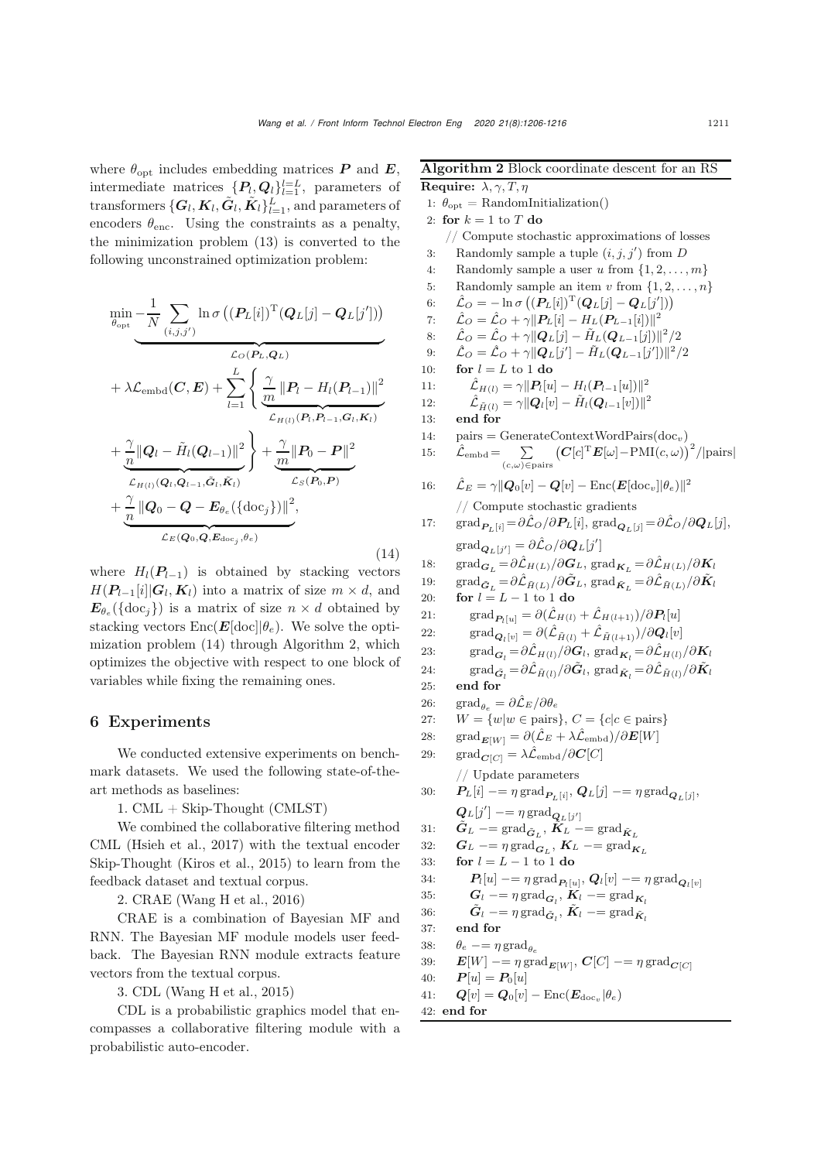where  $\theta_{\text{opt}}$  includes embedding matrices **P** and **E**, intermediate matrices  $\{P_l, Q_l\}_{l=1}^{l=L}$ , parameters of transformers  $\{G_l, K_l, \tilde{G}_l, \tilde{K}_l\}_{l=1}^L$ , and parameters of encoders  $\theta_{\text{enc}}$ . Using the constraints as a penalty, the minimization problem [\(13\)](#page-4-4) is converted to the following unconstrained optimization problem:

<span id="page-5-0"></span>
$$
\begin{split}\n\min_{\theta_{\text{opt}}} &-\frac{1}{N} \sum_{(i,j,j')} \ln \sigma \left( \left( P_L[i] \right)^{\text{T}} \left( Q_L[j] - Q_L[j'] \right) \right) \\
&+ \lambda \mathcal{L}_{\text{embed}}(C, E) + \sum_{l=1}^{L} \left\{ \frac{\gamma}{m} \left\| P_l - H_l(P_{l-1}) \right\|^2 \right. \\
& \left. + \frac{\gamma}{n} \left\| Q_l - \tilde{H}_l(Q_{l-1}) \right\|^2 \right\} + \frac{\gamma}{m} \left\| P_0 - P \right\|^2 \\
&+ \frac{\gamma}{n} \left\| Q_0 - Q - E_{\theta_e}(\{\text{doc}_j\}) \right\|^2, \\
&+ \frac{\gamma}{n} \left\| Q_0 - Q - E_{\theta_e}(\{\text{doc}_j\}) \right\|^2, \\
& \frac{\gamma}{n} \left\| \mathcal{L}_{E(Q_0, Q, E_{\text{doc}_j}, \theta_e)} \right\|^2,\n\end{split} \tag{14}
$$

where  $H_1(P_{l-1})$  is obtained by stacking vectors  $H(\boldsymbol{P}_{l-1}[i]|G_l, \boldsymbol{K}_l)$  into a matrix of size  $m \times d$ , and  $E_{\theta_e}(\{\text{doc}_j\})$  is a matrix of size  $n \times d$  obtained by stacking vectors  $Enc(\boldsymbol{E}[\text{doc}]|\theta_e)$ . We solve the optimization problem [\(14\)](#page-5-0) through Algorithm 2, which optimizes the objective with respect to one block of variables while fixing the remaining ones.

# 6 Experiments

We conducted extensive experiments on benchmark datasets. We used the following state-of-theart methods as baselines:

1. CML + Skip-Thought (CMLST)

We combined the collaborative filtering method CML [\(Hsieh et al., 2017](#page-9-25)) with the textual encoder Skip-Thought [\(Kiros et al., 2015\)](#page-9-26) to learn from the feedback dataset and textual corpus.

2. CRAE [\(Wang H et al., 2016\)](#page-10-2)

CRAE is a combination of Bayesian MF and RNN. The Bayesian MF module models user feedback. The Bayesian RNN module extracts feature vectors from the textual corpus.

3. CDL [\(Wang H et al., 2015\)](#page-10-1)

CDL is a probabilistic graphics model that encompasses a collaborative filtering module with a probabilistic auto-encoder.

Algorithm 2 Block coordinate descent for an RS Require:  $\lambda, \gamma, T, \eta$ 1:  $\theta_{\text{opt}} = \text{RandomInitialization}()$ 2: for  $k = 1$  to T do // Compute stochastic approximations of losses 3: Randomly sample a tuple  $(i, j, j')$  from D 4: Randomly sample a user u from  $\{1, 2, ..., m\}$ <br>5: Randomly sample an item v from  $\{1, 2, ..., n\}$ 5: Randomly sample an item v from  $\{1, 2, ..., n\}$ <br>6:  $\hat{C} = -\ln \sigma \left( \left( \mathbf{P}_L[i] \right)^T \left( \mathbf{Q}_L[i] - \mathbf{Q}_L[i'] \right) \right)$ 6:  $\hat{\mathcal{L}}_O = -\ln \sigma \left( \left( \mathbf{P}_L[i] \right)^\mathrm{T} \left( \mathbf{Q}_L[j] - \mathbf{Q}_L[j'] \right) \right)$ 7:  $\hat{\mathcal{L}}_O = \hat{\mathcal{L}}_O + \gamma ||\bm{P}_L[i] - H_L(\bm{P}_{L-1}[i])||^2$ <br>8:  $\hat{\mathcal{L}}_O = \hat{\mathcal{L}}_O + \gamma ||\bm{Q}_L[i] - \tilde{H}_L(\bm{Q}_{L-1}[i])||^2$ 8:  $\hat{\mathcal{L}}_O = \hat{\mathcal{L}}_O + \gamma ||\mathbf{Q}_L[j] - \tilde{H}_L(\mathbf{Q}_{L-1}[j])||^2/2$ <br>9:  $\hat{\mathcal{L}}_O = \hat{\mathcal{L}}_O + \gamma ||\mathbf{Q}_L[j'] - \tilde{H}_L(\mathbf{Q}_{L-1}[j'])||^2/2$ 9:  $\hat{\mathcal{L}}_O = \hat{\mathcal{L}}_O + \gamma ||\mathbf{Q}_L[j'] - \tilde{H}_L(\mathbf{Q}_{L-1}[j'])||^2/2$ 10: **for**  $l = L$  to 1 **do**<br>11:  $\hat{\mathcal{L}}_{H(l)} = \gamma || P_l [u]$ 11:  $\hat{\mathcal{L}}_{H(l)} = \gamma ||P_l[u] - H_l(P_{l-1}[u])||^2$ <br>
12:  $\hat{\mathcal{L}}_{\hat{\sigma}(l)} = \gamma ||Q_l[v] - \tilde{H}_l(Q_{l-1}[v])||^2$ 12:  $\hat{\mathcal{L}}_{\tilde{H}(l)} = \gamma ||\mathbf{Q}_l[v] - \tilde{H}_l(\mathbf{Q}_{l-1}[v])||^2$ <br>12: and for 13: end for 14:  $pairs = GenerateContextWordPairs(loc_v)$ 15:  $\hat{\mathcal{L}}_{\text{embed}} = \sum$  $(c,\omega) \!\in\! \text{pairs}$  $\left(\boldsymbol{C}[c]^{\mathrm{T}}\boldsymbol{E}[\omega]\!-\!\mathrm{PMI}(c,\omega)\right)^2\!/\!|\mathrm{pairs}|$ 16:  $\hat{\mathcal{L}}_E = \gamma ||\mathbf{Q}_0[v] - \mathbf{Q}[v] - \text{Enc}(\mathbf{E}[\text{doc}_v]|\theta_e) ||^2$ // Compute stochastic gradients 17: grad $P_{L}[i] = \partial \hat{\mathcal{L}}_O / \partial P_L[i]$ , grad $Q_{L}[j] = \partial \hat{\mathcal{L}}_O / \partial Q_L[j]$ ,  $\operatorname{grad}_{{\boldsymbol{Q}}_L[j']} = \partial \hat{\mathcal{L}}_O / \partial {\boldsymbol{Q}}_L[j']$ 18: grad<sub>*G<sub>L</sub>* =  $\partial \hat{\mathcal{L}}_{H(L)}/\partial G_L$ , grad<sub>*K<sub>L</sub>* =  $\partial \hat{\mathcal{L}}_{H(L)}/\partial K_l$ <br>19: grad  $\tilde{\epsilon} = \partial \hat{\mathcal{L}}_{H(L)}/\partial \tilde{G}_L$  grad  $\tilde{\epsilon} = \partial \hat{\mathcal{L}}_{H(L)}/\partial \tilde{K}_L$ </sub></sub> 19:  $\text{grad}_{\tilde{G}_L} = \frac{\partial \hat{\mathcal{L}}_{\tilde{H}(L)}}{\partial \tilde{G}_L} / \frac{\partial \tilde{G}_L}{\partial \tilde{K}}$ , grad $\tilde{\kappa}_L = \frac{\partial \hat{\mathcal{L}}_{\tilde{H}(L)}}{\partial \tilde{K}} / \frac{\partial \tilde{K}}{\partial \tilde{K}}$ 20: for  $l = L - 1$  to 1 do<br>21: grad  $_{P_1(n)} = \partial(\hat{\mathcal{L}}_{H(l)})$ 21: grad<sub>*Pl*[u]</sub> =  $\partial(\hat{\mathcal{L}}_{H(l)} + \hat{\mathcal{L}}_{H(l+1)})/\partial P_l[u]$ <br>22: grad<sub>*QL*</sub> =  $\partial(\hat{\mathcal{L}}_{H(l)} + \hat{\mathcal{L}}_{H(l+1)})/\partial Q_l[v]$ 22:  $\text{grad}_{\mathbf{Q}_l[v]} = \partial(\hat{\mathcal{L}}_{\tilde{H}(l)} + \hat{\mathcal{L}}_{\tilde{H}(l+1)})/\partial \mathbf{Q}_l[v]$ 23: grad<sub>*Gl*</sub> =  $\partial \hat{\mathcal{L}}_{H(l)} / \partial G_l$ , grad<sub>*K<sub>l</sub>*</sub> =  $\partial \hat{\mathcal{L}}_{H(l)} / \partial K_l$ <br>24: grad  $\hat{\sigma} = \partial \hat{\mathcal{L}}_{H(l)} / \partial \tilde{G}_l$ , grad  $\hat{\sigma} = \partial \hat{\mathcal{L}}_{H(l)} / \partial \tilde{K}_l$ 24:  $\text{grad}_{\tilde{G}_l} = \partial \hat{\mathcal{L}}_{\tilde{H}(l)} / \partial \tilde{G}_l$ ,  $\text{grad}_{\tilde{K}_l} = \partial \hat{\mathcal{L}}_{\tilde{H}(l)} / \partial \tilde{K}_l$ 25: end for 26: grad<sub> $\theta_e = \partial \hat{\mathcal{L}}_E / \partial \theta_e$ <br>27:  $W = \{w | w \in \text{pairs}\}$ </sub> 27:  $W = \{w|w \in \text{pairs}\}, C = \{c|c \in \text{pairs}\}$ <br>28.  $\text{grad}_{\text{string}} = \frac{\partial(\hat{C}_F + \lambda \hat{C}_{\text{initial}})}{\partial E[W]}$ 28: grad<sub>*E*[W]</sub> =  $\partial(\hat{\mathcal{L}}_E + \lambda \hat{\mathcal{L}}_{\text{embd}})/\partial E[W]$ <br>29: grad<sub>*C*[C]</sub> =  $\lambda \hat{\mathcal{L}}_{\text{embd}}/\partial C[C]$  $\mathrm{grad}_{\mathbf{C}[C]} = \lambda \hat{\mathcal{L}}_{\mathrm{embd}} / \partial \mathbf{C}[C]$ // Update parameters 30:  $\boldsymbol{P}_L[i] = \eta \operatorname{grad}_{\boldsymbol{P}_L[i]}, \boldsymbol{Q}_L[j] = \eta \operatorname{grad}_{\boldsymbol{Q}_L[i]},$  $\tilde{Q}_L[j'] = \eta \operatorname{grad}_{\tilde{Q}_L[j']}$ 31:  $\tilde{G}_L$  −= grad $\tilde{G}_L$ ,  $\tilde{K}_L$  −= grad $\tilde{K}_L$ <br>32:  $G_L$  −=  $\eta$  grad $G$ ,  $K_L$  −= grad<sub> $K_L$ </sub> 32:  $G_L$  −=  $\eta \text{ grad}_{G_L}$ ,  $K_L$  −=  $\text{grad}_{K_L}$ <br>33: for  $l = L - 1$  to 1 do 33: **for**  $l = L - 1$  to 1 do<br>34:  $P_l[u] = \eta \operatorname{grad}_{P_l[u]}$ 34:  $P_l[u] = \eta \operatorname{grad}_{P_l[u]}, Q_l[v] = \eta \operatorname{grad}_{Q_l[v]}$ <br>35:  $G_l = \eta \operatorname{grad}_{G_l}, K_l = \operatorname{grad}_{K_l}$ 35:  $G_l$  −=  $\eta \text{ grad}_{G_l}$ ,  $K_l$  −=  $\text{ grad}_{K_l}$ <br>
26  $\tilde{G}$  =  $\text{ grad}_{G_l}$ ,  $\tilde{K}$  =  $\text{ grad}_{K_l}$ 36:  $\tilde{G}_l$  −=  $\eta \operatorname{grad}_{\tilde{G}_l}$ ,  $\tilde{K}_l$  −=  $\operatorname{grad}_{\tilde{K}_l}$ <sup>27</sup> 37: end for 38:  $\theta_e = \eta \text{ grad}_{\theta_e}$ <br>39:  $\mathbf{E}[W] = \eta \text{ grad}_{\theta_e}$ 39:  $E[W] = \eta \operatorname{grad}_{E[W]}, C[C] = \eta \operatorname{grad}_{C[C]}$ <br>40:  $P[u] = P_0[u]$ 40:  $P[u] = P_0[u]$ <br>
41:  $Q[v] = Q_0[v]$  $\boldsymbol{Q}[v] = \boldsymbol{Q}_0[v] - \text{Enc}(\boldsymbol{E}_{\text{doc}_v}|\theta_e)$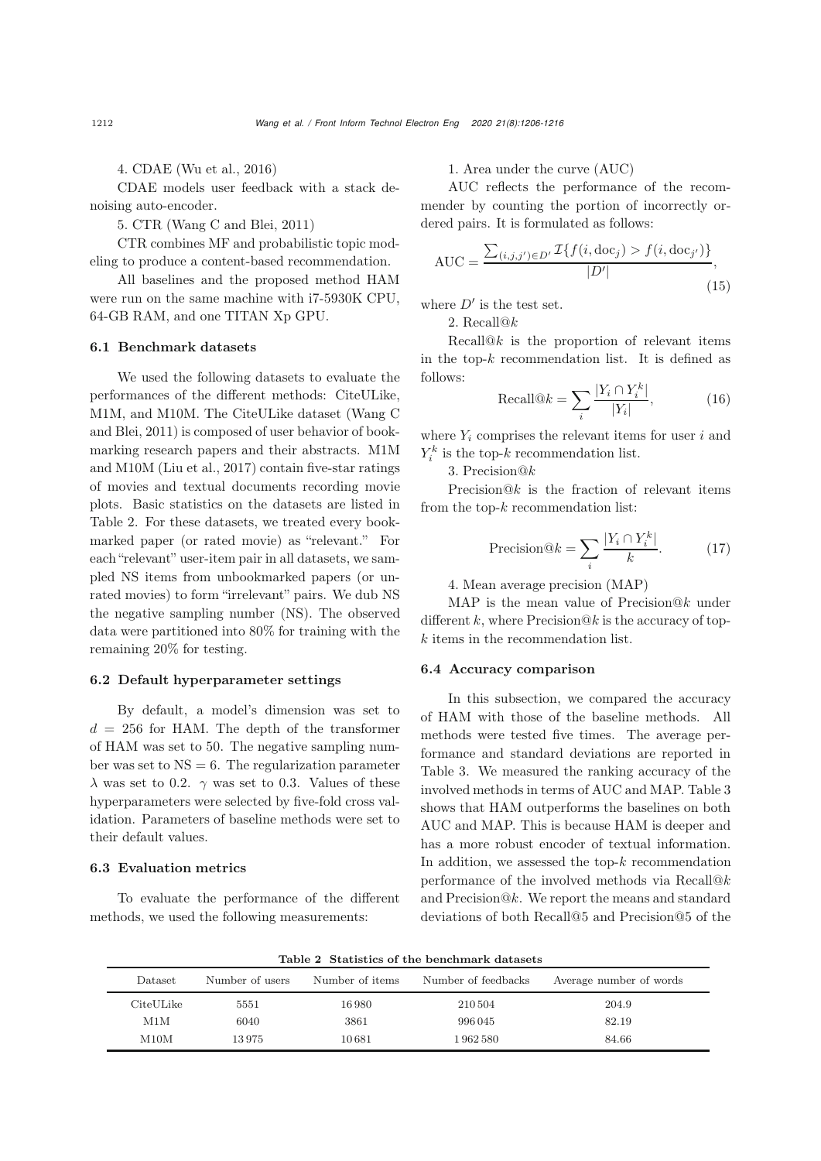4. CDAE [\(Wu et al.](#page-10-8), [2016](#page-10-8))

CDAE models user feedback with a stack denoising auto-encoder.

5. CTR [\(Wang C and Blei, 2011\)](#page-10-5)

CTR combines MF and probabilistic topic modeling to produce a content-based recommendation.

All baselines and the proposed method HAM were run on the same machine with i7-5930K CPU, 64-GB RAM, and one TITAN Xp GPU.

# 6.1 Benchmark datasets

We used the following datasets to evaluate the performances of the different methods: CiteULike, M1M, a[nd](#page-10-5) [M10M.](#page-10-5) [The](#page-10-5) [CiteULike](#page-10-5) [dataset](#page-10-5) [\(](#page-10-5)Wang C and Blei, [2011\)](#page-10-5) is composed of user behavior of bookmarking research papers and their abstracts. M1M and M10M [\(Liu et al., 2017](#page-9-27)) contain five-star ratings of movies and textual documents recording movie plots. Basic statistics on the datasets are listed in Table [2.](#page-6-0) For these datasets, we treated every bookmarked paper (or rated movie) as "relevant." For each "relevant" user-item pair in all datasets, we sampled NS items from unbookmarked papers (or unrated movies) to form "irrelevant" pairs. We dub NS the negative sampling number (NS). The observed data were partitioned into 80% for training with the remaining 20% for testing.

### 6.2 Default hyperparameter settings

By default, a model's dimension was set to  $d = 256$  for HAM. The depth of the transformer of HAM was set to 50. The negative sampling number was set to  $NS = 6$ . The regularization parameter  $\lambda$  was set to 0.2.  $\gamma$  was set to 0.3. Values of these hyperparameters were selected by five-fold cross validation. Parameters of baseline methods were set to their default values.

# 6.3 Evaluation metrics

To evaluate the performance of the different methods, we used the following measurements:

1. Area under the curve (AUC)

AUC reflects the performance of the recommender by counting the portion of incorrectly ordered pairs. It is formulated as follows:

$$
AUC = \frac{\sum_{(i,j,j') \in D'} \mathcal{I}\{f(i, doc_j) > f(i, doc_{j'})\}}{|D'|},\tag{15}
$$

where  $D'$  is the test set.

2. Recall@k

Recall $@k$  is the proportion of relevant items in the top- $k$  recommendation list. It is defined as follows:

$$
\text{Recall@}k = \sum_{i} \frac{|Y_i \cap Y_i^k|}{|Y_i|},\tag{16}
$$

where  $Y_i$  comprises the relevant items for user i and  $Y_i^k$  is the top-k recommendation list.

3. Precision@k

Precision $@k$  is the fraction of relevant items from the top- $k$  recommendation list:

$$
\text{Precision}@k = \sum_{i} \frac{|Y_i \cap Y_i^k|}{k}.\tag{17}
$$

4. Mean average precision (MAP)

MAP is the mean value of Precision $@k$  under different k, where Precision $@k$  is the accuracy of top- $\boldsymbol{k}$  items in the recommendation list.

## 6.4 Accuracy comparison

In this subsection, we compared the accuracy of HAM with those of the baseline methods. All methods were tested five times. The average performance and standard deviations are reported in Table [3.](#page-7-0) We measured the ranking accuracy of the involved methods in terms of AUC and MAP. Table [3](#page-7-0) shows that HAM outperforms the baselines on both AUC and MAP. This is because HAM is deeper and has a more robust encoder of textual information. In addition, we assessed the top- $k$  recommendation performance of the involved methods via Recall@k and Precision@k. We report the means and standard deviations of both Recall@5 and Precision@5 of the

Dataset Number of users Number of items Number of feedbacks Average number of words CiteULike 5551 16 980 210 504 204.9 M1M 6040 3861 996 045 82.19 M10M 13975 10681 1962 580 84.66

<span id="page-6-0"></span>Table 2 Statistics of the benchmark datasets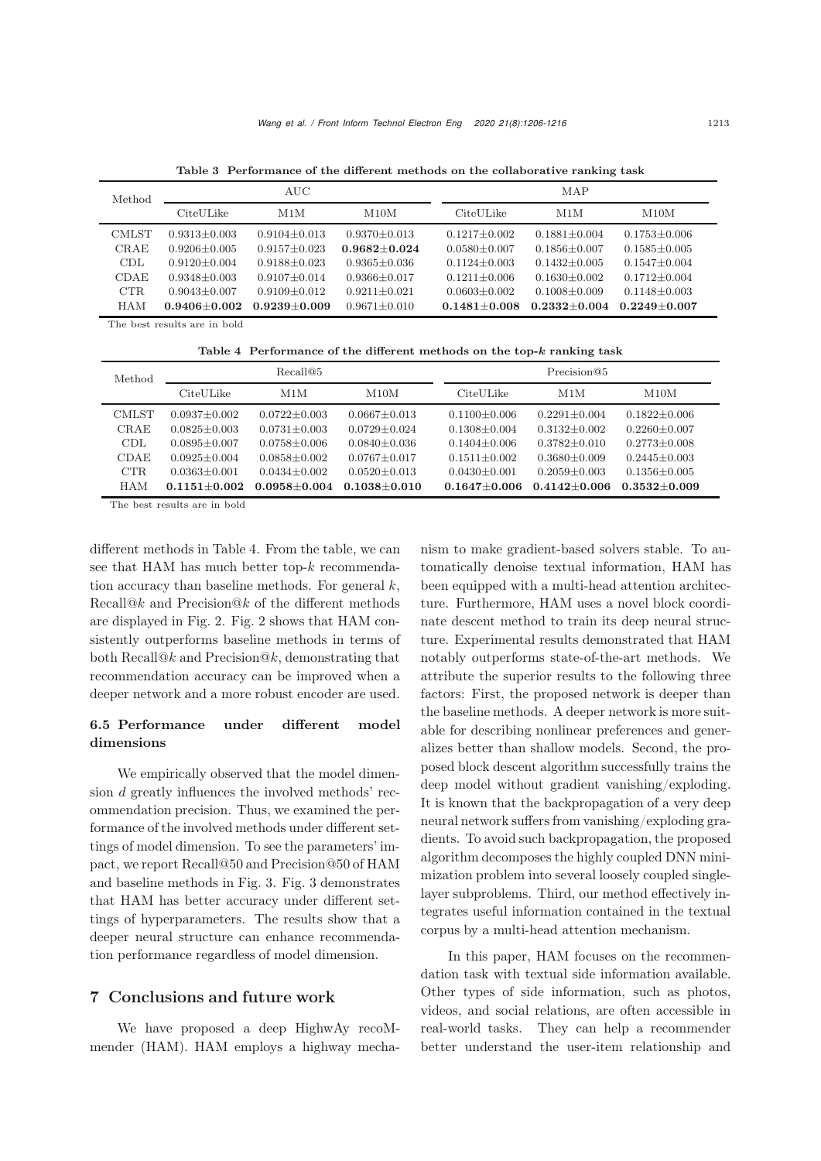| Method                       | $\rm AUC$        |                  |                  | MAP              |                  |                    |  |
|------------------------------|------------------|------------------|------------------|------------------|------------------|--------------------|--|
|                              | CiteULike        | M1M              | M10M             | CiteULike        | M1M              | M10M               |  |
| <b>CMLST</b>                 | $0.9313 + 0.003$ | $0.9104 + 0.013$ | $0.9370 + 0.013$ | $0.1217 + 0.002$ | $0.1881 + 0.004$ | $0.1753 + 0.006$   |  |
| CRAE                         | $0.9206 + 0.005$ | $0.9157 + 0.023$ | $0.9682 + 0.024$ | $0.0580 + 0.007$ | $0.1856 + 0.007$ | $0.1585 \pm 0.005$ |  |
| CDL.                         | $0.9120 + 0.004$ | $0.9188 + 0.023$ | $0.9365 + 0.036$ | $0.1124 + 0.003$ | $0.1432 + 0.005$ | $0.1547 + 0.004$   |  |
| CDAE                         | $0.9348 + 0.003$ | $0.9107 + 0.014$ | $0.9366 + 0.017$ | $0.1211 + 0.006$ | $0.1630 + 0.002$ | $0.1712 + 0.004$   |  |
| CTR.                         | $0.9043 + 0.007$ | $0.9109 + 0.012$ | $0.9211 + 0.021$ | $0.0603 + 0.002$ | $0.1008 + 0.009$ | $0.1148 + 0.003$   |  |
| <b>HAM</b>                   | $0.9406 + 0.002$ | $0.9239 + 0.009$ | $0.9671 + 0.010$ | $0.1481 + 0.008$ | $0.2332 + 0.004$ | $0.2249 + 0.007$   |  |
| The best results are in bold |                  |                  |                  |                  |                  |                    |  |

<span id="page-7-0"></span>Table 3 Performance of the different methods on the collaborative ranking task

<span id="page-7-1"></span>Table 4 Performance of the different methods on the top-*k* ranking task

| Method       | Recall@5         |                  |                  | Precision@5      |                  |                  |
|--------------|------------------|------------------|------------------|------------------|------------------|------------------|
|              | CiteULike        | M1M              | M10M             | CiteULike        | M1M              | M10M             |
| <b>CMLST</b> | $0.0937 + 0.002$ | $0.0722 + 0.003$ | $0.0667 + 0.013$ | $0.1100 + 0.006$ | $0.2291 + 0.004$ | $0.1822 + 0.006$ |
| CRAE         | $0.0825 + 0.003$ | $0.0731 + 0.003$ | $0.0729 + 0.024$ | $0.1308 + 0.004$ | $0.3132 + 0.002$ | $0.2260 + 0.007$ |
| CDL.         | $0.0895 + 0.007$ | $0.0758 + 0.006$ | $0.0840 + 0.036$ | $0.1404 + 0.006$ | $0.3782 + 0.010$ | $0.2773 + 0.008$ |
| <b>CDAE</b>  | $0.0925 + 0.004$ | $0.0858 + 0.002$ | $0.0767 + 0.017$ | $0.1511 + 0.002$ | $0.3680 + 0.009$ | $0.2445 + 0.003$ |
| <b>CTR</b>   | $0.0363 + 0.001$ | $0.0434 + 0.002$ | $0.0520 + 0.013$ | $0.0430 + 0.001$ | $0.2059 + 0.003$ | $0.1356 + 0.005$ |
| <b>HAM</b>   | $0.1151 + 0.002$ | $0.0958 + 0.004$ | $0.1038 + 0.010$ | $0.1647 + 0.006$ | $0.4142 + 0.006$ | $0.3532 + 0.009$ |

The best results are in bold

different methods in Table [4.](#page-7-1) From the table, we can see that HAM has much better top-k recommendation accuracy than baseline methods. For general  $k$ ,  $Recall@k$  and  $Precision@k$  of the different methods are displayed in Fig. [2.](#page-8-0) Fig. [2](#page-8-0) shows that HAM consistently outperforms baseline methods in terms of both Recall@k and Precision@k, demonstrating that recommendation accuracy can be improved when a deeper network and a more robust encoder are used.

# 6.5 Performance under different model dimensions

We empirically observed that the model dimension d greatly influences the involved methods' recommendation precision. Thus, we examined the performance of the involved methods under different settings of model dimension. To see the parameters' impact, we report Recall@50 and Precision@50 of HAM and baseline methods in Fig. [3.](#page-8-1) Fig. [3](#page-8-1) demonstrates that HAM has better accuracy under different settings of hyperparameters. The results show that a deeper neural structure can enhance recommendation performance regardless of model dimension.

# 7 Conclusions and future work

We have proposed a deep HighwAy recoMmender (HAM). HAM employs a highway mechanism to make gradient-based solvers stable. To automatically denoise textual information, HAM has been equipped with a multi-head attention architecture. Furthermore, HAM uses a novel block coordinate descent method to train its deep neural structure. Experimental results demonstrated that HAM notably outperforms state-of-the-art methods. We attribute the superior results to the following three factors: First, the proposed network is deeper than the baseline methods. A deeper network is more suitable for describing nonlinear preferences and generalizes better than shallow models. Second, the proposed block descent algorithm successfully trains the deep model without gradient vanishing/exploding. It is known that the backpropagation of a very deep neural network suffers from vanishing/exploding gradients. To avoid such backpropagation, the proposed algorithm decomposes the highly coupled DNN minimization problem into several loosely coupled singlelayer subproblems. Third, our method effectively integrates useful information contained in the textual corpus by a multi-head attention mechanism.

In this paper, HAM focuses on the recommendation task with textual side information available. Other types of side information, such as photos, videos, and social relations, are often accessible in real-world tasks. They can help a recommender better understand the user-item relationship and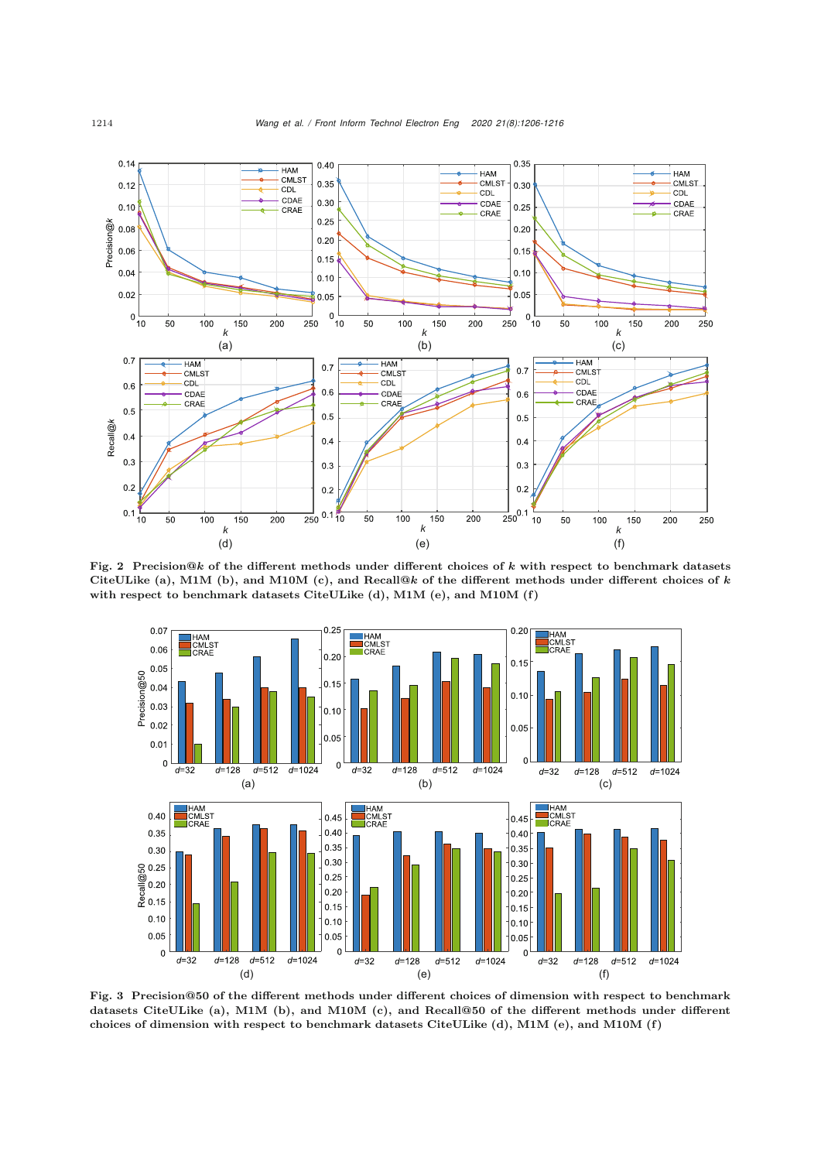

Fig. 2 Precision@*k* of the different methods under different choices of *k* with respect to benchmark datasets CiteULike (a), M1M (b), and M10M (c), and Recall@*k* of the different methods under different choices of *k* with respect to benchmark datasets CiteULike (d), M1M (e), and M10M (f)

<span id="page-8-0"></span>

<span id="page-8-1"></span>Fig. 3 Precision@**50** of the different methods under different choices of dimension with respect to benchmark datasets CiteULike (a), M1M (b), and M10M (c), and Recall@**50** of the different methods under different choices of dimension with respect to benchmark datasets CiteULike (d), M1M (e), and M10M (f)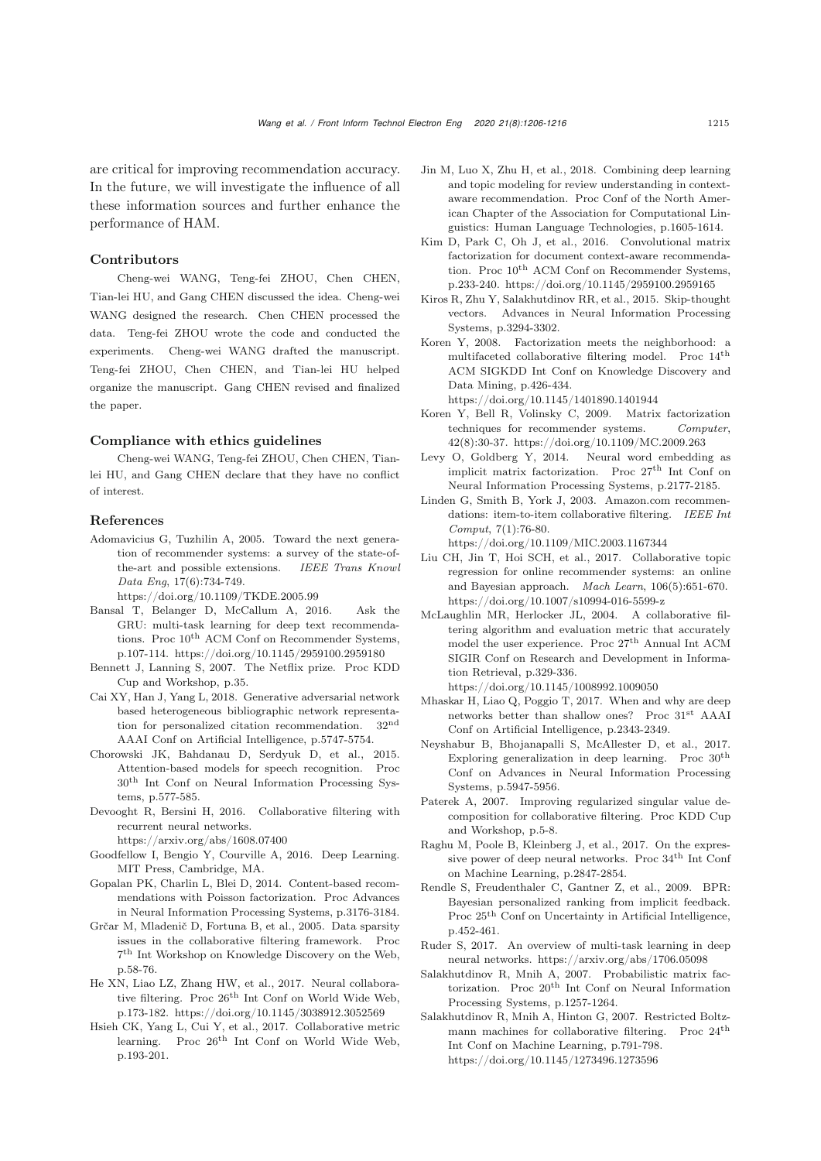are critical for improving recommendation accuracy. In the future, we will investigate the influence of all these information sources and further enhance the performance of HAM.

## Contributors

Cheng-wei WANG, Teng-fei ZHOU, Chen CHEN, Tian-lei HU, and Gang CHEN discussed the idea. Cheng-wei WANG designed the research. Chen CHEN processed the data. Teng-fei ZHOU wrote the code and conducted the experiments. Cheng-wei WANG drafted the manuscript. Teng-fei ZHOU, Chen CHEN, and Tian-lei HU helped organize the manuscript. Gang CHEN revised and finalized the paper.

### Compliance with ethics guidelines

Cheng-wei WANG, Teng-fei ZHOU, Chen CHEN, Tianlei HU, and Gang CHEN declare that they have no conflict of interest.

### References

<span id="page-9-3"></span>Adomavicius G, Tuzhilin A, 2005. Toward the next generation of recommender systems: a survey of the state-ofthe-art and possible extensions. *IEEE Trans Knowl Data Eng*, 17(6):734-749.

https://doi.org/10.1109/TKDE.2005.99

- <span id="page-9-20"></span>Bansal T, Belanger D, McCallum A, 2016. Ask the GRU: multi-task learning for deep text recommendations. Proc  $10^{th}$  ACM Conf on Recommender Systems, p.107-114. https://doi.org/10.1145/2959100.2959180
- <span id="page-9-13"></span>Bennett J, Lanning S, 2007. The Netflix prize. Proc KDD Cup and Workshop, p.35.
- <span id="page-9-17"></span>Cai XY, Han J, Yang L, 2018. Generative adversarial network based heterogeneous bibliographic network representation for personalized citation recommendation. 32nd AAAI Conf on Artificial Intelligence, p.5747-5754.
- <span id="page-9-22"></span>Chorowski JK, Bahdanau D, Serdyuk D, et al., 2015. Attention-based models for speech recognition. Proc 30th Int Conf on Neural Information Processing Systems, p.577-585.
- <span id="page-9-5"></span>Devooght R, Bersini H, 2016. Collaborative filtering with recurrent neural networks.

https://arxiv.org/abs/1608.07400

- <span id="page-9-9"></span>Goodfellow I, Bengio Y, Courville A, 2016. Deep Learning. MIT Press, Cambridge, MA.
- <span id="page-9-18"></span>Gopalan PK, Charlin L, Blei D, 2014. Content-based recommendations with Poisson factorization. Proc Advances in Neural Information Processing Systems, p.3176-3184.
- <span id="page-9-10"></span>Grčar M, Mladenič D, Fortuna B, et al., 2005. Data sparsity issues in the collaborative filtering framework. Proc 7th Int Workshop on Knowledge Discovery on the Web, p.58-76.
- <span id="page-9-16"></span>He XN, Liao LZ, Zhang HW, et al., 2017. Neural collaborative filtering. Proc 26th Int Conf on World Wide Web, p.173-182. https://doi.org/10.1145/3038912.3052569
- <span id="page-9-25"></span>Hsieh CK, Yang L, Cui Y, et al., 2017. Collaborative metric learning. Proc  $26<sup>th</sup>$  Int Conf on World Wide Web, p.193-201.
- <span id="page-9-21"></span>Jin M, Luo X, Zhu H, et al., 2018. Combining deep learning and topic modeling for review understanding in contextaware recommendation. Proc Conf of the North American Chapter of the Association for Computational Linguistics: Human Language Technologies, p.1605-1614.
- <span id="page-9-19"></span>Kim D, Park C, Oh J, et al., 2016. Convolutional matrix factorization for document context-aware recommendation. Proc  $10^{th}$  ACM Conf on Recommender Systems, p.233-240. https://doi.org/10.1145/2959100.2959165
- <span id="page-9-26"></span>Kiros R, Zhu Y, Salakhutdinov RR, et al., 2015. Skip-thought vectors. Advances in Neural Information Processing Systems, p.3294-3302.
- <span id="page-9-11"></span>Koren Y, 2008. Factorization meets the neighborhood: a multifaceted collaborative filtering model. Proc 14th ACM SIGKDD Int Conf on Knowledge Discovery and Data Mining, p.426-434.

https://doi.org/10.1145/1401890.1401944

- <span id="page-9-12"></span>Koren Y, Bell R, Volinsky C, 2009. Matrix factorization techniques for recommender systems. *Computer*, 42(8):30-37. https://doi.org/10.1109/MC.2009.263
- <span id="page-9-24"></span>Levy O, Goldberg Y, 2014. Neural word embedding as implicit matrix factorization. Proc $27^{\rm th}$  Int Conf on Neural Information Processing Systems, p.2177-2185.
- <span id="page-9-2"></span>Linden G, Smith B, York J, 2003. Amazon.com recommendations: item-to-item collaborative filtering. *IEEE Int Comput*, 7(1):76-80.

https://doi.org/10.1109/MIC.2003.1167344 Liu CH, Jin T, Hoi SCH, et al., 2017. Collaborative topic

- <span id="page-9-27"></span>regression for online recommender systems: an online and Bayesian approach. *Mach Learn*, 106(5):651-670. https://doi.org/10.1007/s10994-016-5599-z
- <span id="page-9-0"></span>McLaughlin MR, Herlocker JL, 2004. A collaborative filtering algorithm and evaluation metric that accurately model the user experience. Proc 27th Annual Int ACM SIGIR Conf on Research and Development in Information Retrieval, p.329-336.

https://doi.org/10.1145/1008992.1009050

- <span id="page-9-6"></span>Mhaskar H, Liao Q, Poggio T, 2017. When and why are deep networks better than shallow ones? Proc 31st AAAI Conf on Artificial Intelligence, p.2343-2349.
- <span id="page-9-8"></span>Neyshabur B, Bhojanapalli S, McAllester D, et al., 2017. Exploring generalization in deep learning. Proc  $30^{\text{th}}$ Conf on Advances in Neural Information Processing Systems, p.5947-5956.
- <span id="page-9-4"></span>Paterek A, 2007. Improving regularized singular value decomposition for collaborative filtering. Proc KDD Cup and Workshop, p.5-8.
- <span id="page-9-7"></span>Raghu M, Poole B, Kleinberg J, et al., 2017. On the expressive power of deep neural networks. Proc 34th Int Conf on Machine Learning, p.2847-2854.
- <span id="page-9-14"></span>Rendle S, Freudenthaler C, Gantner Z, et al., 2009. BPR: Bayesian personalized ranking from implicit feedback. Proc 25th Conf on Uncertainty in Artificial Intelligence, p.452-461.
- <span id="page-9-23"></span>Ruder S, 2017. An overview of multi-task learning in deep neural networks. https://arxiv.org/abs/1706.05098
- <span id="page-9-1"></span>Salakhutdinov R, Mnih A, 2007. Probabilistic matrix factorization. Proc  $20<sup>th</sup>$  Int Conf on Neural Information Processing Systems, p.1257-1264.
- <span id="page-9-15"></span>Salakhutdinov R, Mnih A, Hinton G, 2007. Restricted Boltzmann machines for collaborative filtering. Proc 24th Int Conf on Machine Learning, p.791-798. https://doi.org/10.1145/1273496.1273596